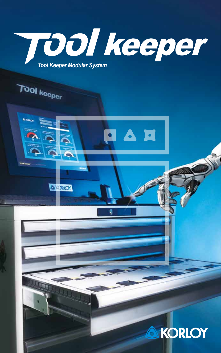

 $\bullet$ 

**Albert** 

**A KORLOY** 

 $\blacksquare$ 

O



**ANGELO** 

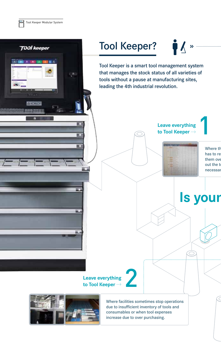

**Tool keeper** 

**CATERING ASSESSED FOR AN INCOME.** 

## Tool Keeper?

**N**  $\mathbf{\hat{z}}$ 

Tool Keeper is a smart tool management system that manages the stock status of all varieties of tools without a pause at manufacturing sites, leading the 4th industrial revolution.

> **Leave everything to Tool Keeper**



Where th has to re them over out the t necessar

1

**Is your** 

**Leave everything to Tool Keeper** 





Where facilities sometimes stop operations due to insufficient inventory of tools and consumables or when tool expenses increase due to over purchasing.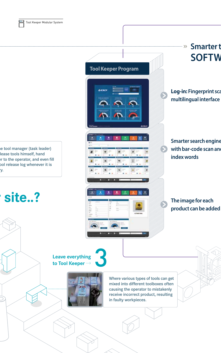

e tool manager (task leader) lease tools himself, hand er to the operator, and even fill ool release log whenever it is y.

# **Isite..?**

**Tool Keeper Program**



L

# **SOFTW**

 $\dots$   $\gg$ 

**Log-in:** Fingerprint sca **multilingual interface**

**Smarter t** 

**Smarter search engine**  with bar-code scan and **index words**

#### **The image for each product can be added**

3 **Leave everything to Tool Keeper** 



Where various types of tools can get mixed into different toolboxes often causing the operator to mistakenly receive incorrect product, resulting in faulty workpieces.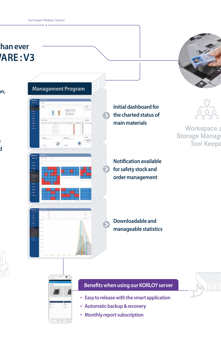



**Log-in: fingerprint scan,** 

**Smarter search engine**   $\mathbf{b}$ 





**Initial dashboard for the charted status of main materials**

**Notification available for safety stock and order management**

**Downloadable and manageable statistics**





#### **Benefits when using our KORLOY server**

- 
- **Easy to release with the smart application**
- **Automatic backup & recovery**
- **Monthly report subscription**



Workspace a Storage Manage **Tool Keepe**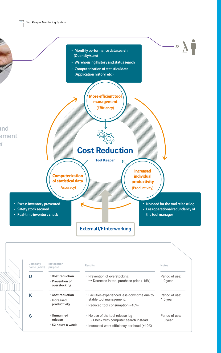

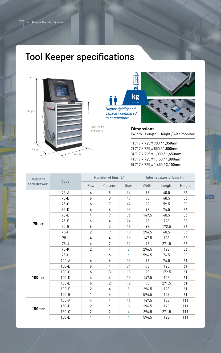### Tool Keeper specifications



kg<br>Max. 200 *Higher rigidity and capacity compared to competitors*



**Dimensions** (Width : Length : Height / with monitor)

1) 717 x 725 x 700 / 1,350mm 2) 717 x 725 x 850 / 1,500mm 3) 717 x 725 x 1,000 / 1,650mm 4) 717 x 725 x 1,150 / 1,800mm 5) 717 x 725 x 1,450 / 2,100mm

| <b>Height of</b> |           | <b>Number of bins (EA)</b> |                |     | Internal sizes of bins (mm) |        |        |  |
|------------------|-----------|----------------------------|----------------|-----|-----------------------------|--------|--------|--|
| each drawer      | Code      | Row                        | Column         | Sum | Width                       | Length | Height |  |
| $75$ mm          | $75-A$    | 6                          | 9              | 54  | 98                          | 40.5   | 36     |  |
|                  | $75 - B$  | 6                          | 8              | 48  | 98                          | 48.5   | 36     |  |
|                  | $75-C$    | 6                          | 7              | 42  | 98                          | 59.5   | 36     |  |
|                  | $75-D$    | 6                          | 6              | 36  | 98                          | 74.5   | 36     |  |
|                  | $75-E$    | 4                          | 9              | 36  | 147.5                       | 40.5   | 36     |  |
|                  | $75-F$    | 6                          | 4              | 24  | 98                          | 123    | 36     |  |
|                  | $75-G$    | 6                          | 3              | 18  | 98                          | 172.5  | 36     |  |
|                  | $75-H$    | $\overline{2}$             | 9              | 18  | 296.5                       | 40.5   | 36     |  |
|                  | $75 - 1$  | 4                          | 4              | 16  | 147.5                       | 123    | 36     |  |
|                  | $75 - J$  | 6                          | $\overline{2}$ | 12  | 98                          | 271.5  | 36     |  |
|                  | $75-K$    | $\overline{2}$             | 4              | 8   | 296.5                       | 123    | 36     |  |
|                  | $75-L$    | $\mathbf{1}$               | 6              | 6   | 594.5                       | 74.5   | 36     |  |
|                  | $100 - A$ | 6                          | 6              | 36  | 98                          | 74.5   | 61     |  |
| $100$ mm         | $100 - B$ | 6                          | 4              | 24  | 98                          | 123    | 61     |  |
|                  | $100 - C$ | 6                          | 3              | 18  | 98                          | 172.5  | 61     |  |
|                  | $100 - D$ | 4                          | 4              | 16  | 147.5                       | 123    | 61     |  |
|                  | $100-E$   | 6                          | $\overline{2}$ | 12  | 98                          | 271.5  | 61     |  |
|                  | $100-F$   | $\overline{2}$             | 4              | 8   | 296.5                       | 123    | 61     |  |
|                  | $100 - G$ | 1                          | 4              | 4   | 594.5                       | 123    | 61     |  |
| $150 \text{mm}$  | $150 - A$ | 4                          | 4              | 16  | 147.5                       | 123    | 111    |  |
|                  | $150 - B$ | $\overline{2}$             | 4              | 8   | 296.5                       | 123    | 111    |  |
|                  | $150-C$   | $\mathbf{2}$               | $\overline{2}$ | 4   | 296.5                       | 271.5  | 111    |  |
|                  | $150-D$   | 1                          | 4              | 4   | 594.5                       | 123    | 111    |  |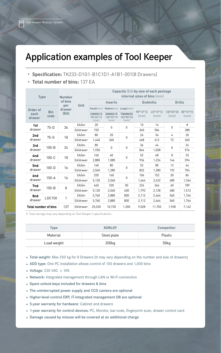### Application examples of Tool Keeper

#### • **Specification:** TK233-D1G1-B1C1D1-A1B1-001(8 Drawers)

• **Total number of bins:** 137 EA

| <b>Type</b>                            |                    | <b>Number</b>         |             | Capacity (EA) by size of each package<br>internal sizes of bins (mm) |                             |                                    |                  |                    |                   |                  |
|----------------------------------------|--------------------|-----------------------|-------------|----------------------------------------------------------------------|-----------------------------|------------------------------------|------------------|--------------------|-------------------|------------------|
|                                        |                    | of bins               | <b>Unit</b> | <b>Inserts</b>                                                       |                             |                                    | <b>Endmills</b>  |                    | <b>Drills</b>     |                  |
| Order of                               | <b>Bin</b><br>code | per<br>drawer<br>(EA) |             | Small(mm)                                                            | Medium(mm) Large(mm)        |                                    | 90*13*13<br>[mm] | $65*13*13$<br>(mm) | 130*20*20<br>(mm) | 80*15*15<br>(mm) |
| each<br>drawer                         |                    |                       |             | CNMG12<br>98*40*13<br>(mm)                                           | DNMG15<br>138*55*15<br>(mm) | <b>TNMM25</b><br>182*80*20<br>(mm) |                  |                    |                   |                  |
| 1st<br>75-D<br>drawer                  |                    | 36                    | EA/bin      | 20                                                                   | 0                           | $\mathbf{0}$                       | 10               | 14                 | 0                 | 8                |
|                                        |                    |                       | EA/drawer   | 720                                                                  |                             |                                    | 360              | 504                |                   | 288              |
| 2nd                                    | $75 - G$           | 18                    | EA/bin      | 80                                                                   | 20                          | 0                                  | 26               | 34                 | 4                 | 20               |
| drawer                                 |                    |                       | EA/drawer   | 1,440                                                                | 360                         |                                    | 468              | 612                | 72                | 360              |
| 3rd<br>$100 - B$<br>drawer             | 24                 | EA/bin                | 80          | $\mathbf 0$                                                          | 0                           | 36                                 | 44               | 0                  | 24                |                  |
|                                        |                    |                       | EA/drawer   | 1.920                                                                |                             |                                    | 864              | 1,058              |                   | 576              |
| 4nd                                    | $100 - C$          | 18                    | EA/bin      | 160                                                                  | 60                          | 0                                  | 52               | 68                 | 8                 | 33               |
| drawer                                 |                    |                       | EA/drawer   | 2.880                                                                | 1.080                       |                                    | 936              | 1,224              | 144               | 594              |
| 5 <sub>nd</sub>                        | $100 - D$          | 16                    | EA/bin      | 160                                                                  | 80                          | 0                                  | 52               | 80                 | 12                | 44               |
| drawer                                 |                    |                       | EA/drawer   | 2,560                                                                | 1,280                       |                                    | 832              | 1,280              | 192               | 704              |
| 6 <sub>nd</sub><br>$150 - A$<br>drawer |                    | 16                    | EA/bin      | 320                                                                  | 160                         | 0                                  | 104              | 152                | 30                | 84               |
|                                        |                    |                       | EA/drawer   | 5.120                                                                | 2,560                       |                                    | 1,664            | 2,432              | 480               | 1,344            |
| 7nd<br>drawer                          | $150 - B$          | 8                     | EA/bin      | 640                                                                  | 320                         | 50                                 | 224              | 266                | 60                | 189              |
|                                        |                    |                       | EA/drawer   | 5,120                                                                | 2,560                       | 400                                | 1,792            | 2,128              | 480               | 1,512            |
| 8nd<br>drawer                          | LDC150             | 1                     | EA/bin      | 5,760                                                                | 2,880                       | 800                                | 2,112            | 2,464              | 560               | 1,764            |
|                                        |                    |                       | EA/drawer   | 5.760                                                                | 2,880                       | 800                                | 2,112            | 2.464              | 560               | 1,764            |
| <b>Total number of bins</b>            |                    | 137                   | EA/drawer   | 25,520                                                               | 10.720                      | 1,200                              | 9,028            | 11.702             | 1,928             | 7,142            |

※ Total storage may vary depending on Tool Keeper's specifications.

| Type        | <b>KORLOY</b> | <b>Competitor</b> |
|-------------|---------------|-------------------|
| Material    | Steel plate   | Plastic           |
| Load weight | 200kg         | 50kg              |

- Total weight: Max 250 kg for 8 Drawers (It may vary depending on the number and size of drawers)
- ADD type: One PC installation allows control of 100 drawers and 1,000 bins
- Voltage:  $220$  VAC  $\pm$  10%
- Network: Integrated management through LAN or Wi-Fi connection
- • Spare unlock-keys included for drawers & bins
- The uninterrupted power supply and CCD camera are optional
- Higher-level control ERP, IT-integrated management DB are optional
- • 5-year warranty for hardware: cabinet and drawers
- • 1-year warranty for control devices: PC, monitor, bar-code, fingerprint scan, drawer control card
- Damage caused by misuse will be covered at an additional charge